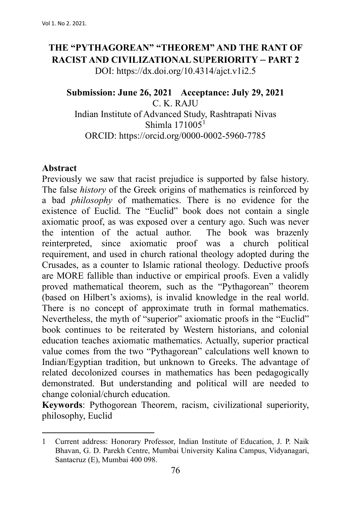# **THE "PYTHAGOREAN" "THEOREM" AND THE RANT OF RACIST AND CIVILIZATIONAL SUPERIORITY – PART 2** DOI: https://dx.doi.org/10.4314/ajct.v1i2.5

#### **Submission: June 26, 2021 Acceptance: July 29, 2021** C. K. RAJU

Indian Institute of Advanced Study, Rashtrapati Nivas Shimla  $171005<sup>1</sup>$  $171005<sup>1</sup>$ ORCID: https://orcid.org/0000-0002-5960-7785

#### **Abstract**

Previously we saw that racist prejudice is supported by false history. The false *history* of the Greek origins of mathematics is reinforced by a bad *philosophy* of mathematics. There is no evidence for the existence of Euclid. The "Euclid" book does not contain a single axiomatic proof, as was exposed over a century ago. Such was never the intention of the actual author. The book was brazenly reinterpreted, since axiomatic proof was a church political reinterpreted, since axiomatic proof was requirement, and used in church rational theology adopted during the Crusades, as a counter to Islamic rational theology. Deductive proofs are MORE fallible than inductive or empirical proofs. Even a validly proved mathematical theorem, such as the "Pythagorean" theorem (based on Hilbert's axioms), is invalid knowledge in the real world. There is no concept of approximate truth in formal mathematics. Nevertheless, the myth of "superior" axiomatic proofs in the "Euclid" book continues to be reiterated by Western historians, and colonial education teaches axiomatic mathematics. Actually, superior practical value comes from the two "Pythagorean" calculations well known to Indian/Egyptian tradition, but unknown to Greeks. The advantage of related decolonized courses in mathematics has been pedagogically demonstrated. But understanding and political will are needed to change colonial/church education.

**Keywords**: Pythogorean Theorem, racism, civilizational superiority, philosophy, Euclid

<span id="page-0-0"></span><sup>1</sup> Current address: Honorary Professor, Indian Institute of Education, J. P. Naik Bhavan, G. D. Parekh Centre, Mumbai University Kalina Campus, Vidyanagari, Santacruz (E), Mumbai 400 098.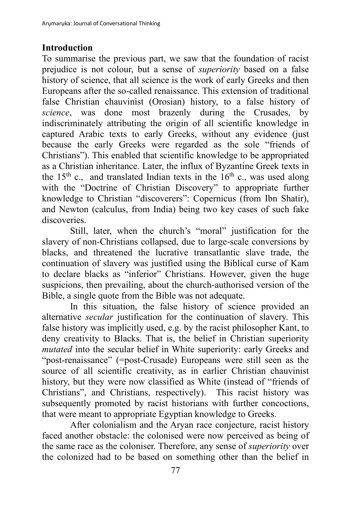## **Introduction**

To summarise the previous part, we saw that the foundation of racist prejudice is not colour, but a sense of *superiority* based on a false history of science, that all science is the work of early Greeks and then Europeans after the so-called renaissance. This extension of traditional false Christian chauvinist (Orosian) history, to a false history of *science*, was done most brazenly during the Crusades, by indiscriminately attributing the origin of all scientific knowledge in captured Arabic texts to early Greeks, without any evidence (just because the early Greeks were regarded as the sole "friends of Christians"). This enabled that scientific knowledge to be appropriated as a Christian inheritance. Later, the influx of Byzantine Greek texts in the 15<sup>th</sup> c., and translated Indian texts in the  $16<sup>th</sup>$  c., was used along with the "Doctrine of Christian Discovery" to appropriate further knowledge to Christian "discoverers": Copernicus (from Ibn Shatir), and Newton (calculus, from India) being two key cases of such fake discoveries.

Still, later, when the church's "moral" justification for the slavery of non-Christians collapsed, due to large-scale conversions by blacks, and threatened the lucrative transatlantic slave trade, the continuation of slavery was justified using the Biblical curse of Kam to declare blacks as "inferior" Christians. However, given the huge suspicions, then prevailing, about the church-authorised version of the Bible, a single quote from the Bible was not adequate.

In this situation, the false history of science provided an alternative *secular* justification for the continuation of slavery. This false history was implicitly used, e.g. by the racist philosopher Kant, to deny creativity to Blacks. That is, the belief in Christian superiority *mutated* into the secular belief in White superiority: early Greeks and "post-renaissance" (=post-Crusade) Europeans were still seen as the source of all scientific creativity, as in earlier Christian chauvinist history, but they were now classified as White (instead of "friends of Christians", and Christians, respectively). This racist history was subsequently promoted by racist historians with further concoctions, that were meant to appropriate Egyptian knowledge to Greeks.

After colonialism and the Aryan race conjecture, racist history faced another obstacle: the colonised were now perceived as being of the same race as the coloniser. Therefore, any sense of *superiority* over the colonized had to be based on something other than the belief in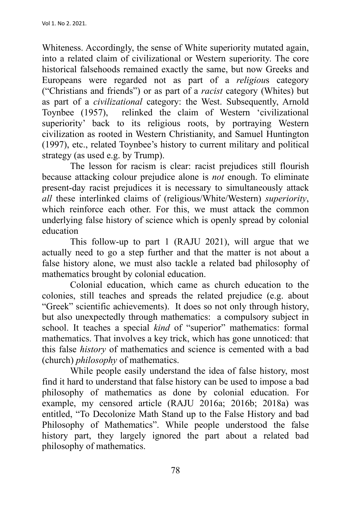Whiteness. Accordingly, the sense of White superiority mutated again, into a related claim of civilizational or Western superiority. The core historical falsehoods remained exactly the same, but now Greeks and Europeans were regarded not as part of a *religiou*s category ("Christians and friends") or as part of a *racist* category (Whites) but as part of a *civilizational* category: the West. Subsequently, Arnold Toynbee (1957), relinked the claim of Western 'civilizational superiority' back to its religious roots, by portraying Western civilization as rooted in Western Christianity, and Samuel Huntington (1997), etc., related Toynbee's history to current military and political strategy (as used e.g. by Trump).

The lesson for racism is clear: racist prejudices still flourish because attacking colour prejudice alone is *not* enough. To eliminate present-day racist prejudices it is necessary to simultaneously attack *all* these interlinked claims of (religious/White/Western) *superiority*, which reinforce each other. For this, we must attack the common underlying false history of science which is openly spread by colonial education

This follow-up to part 1 (RAJU 2021), will argue that we actually need to go a step further and that the matter is not about a false history alone, we must also tackle a related bad philosophy of mathematics brought by colonial education.

Colonial education, which came as church education to the colonies, still teaches and spreads the related prejudice (e.g. about "Greek" scientific achievements). It does so not only through history, but also unexpectedly through mathematics: a compulsory subject in school. It teaches a special *kind* of "superior" mathematics: formal mathematics. That involves a key trick, which has gone unnoticed: that this false *history* of mathematics and science is cemented with a bad (church) *philosophy* of mathematics.

While people easily understand the idea of false history, most find it hard to understand that false history can be used to impose a bad philosophy of mathematics as done by colonial education. For example, my censored article (RAJU 2016a; 2016b; 2018a) was entitled, "To Decolonize Math Stand up to the False History and bad Philosophy of Mathematics". While people understood the false history part, they largely ignored the part about a related bad philosophy of mathematics.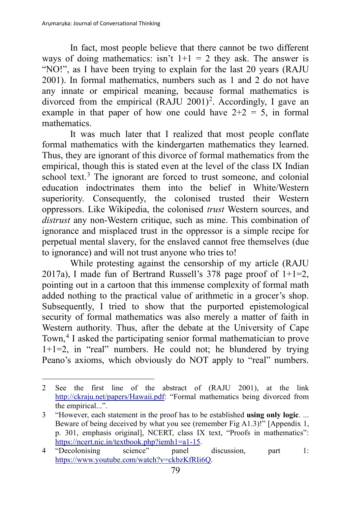In fact, most people believe that there cannot be two different ways of doing mathematics: isn't  $1+1 = 2$  they ask. The answer is "NO!", as I have been trying to explain for the last 20 years (RAJU 2001). In formal mathematics, numbers such as 1 and 2 do not have any innate or empirical meaning, because formal mathematics is divorced from the empirical  $(RAIU 2001)^2$  $(RAIU 2001)^2$  $(RAIU 2001)^2$ . Accordingly, I gave an example in that paper of how one could have  $2+2 = 5$ , in formal mathematics.

It was much later that I realized that most people conflate formal mathematics with the kindergarten mathematics they learned. Thus, they are ignorant of this divorce of formal mathematics from the empirical, though this is stated even at the level of the class IX Indian school text.<sup>[3](#page-3-1)</sup> The ignorant are forced to trust someone, and colonial education indoctrinates them into the belief in White/Western superiority. Consequently, the colonised trusted their Western oppressors. Like Wikipedia, the colonised *trust* Western sources, and *distrust* any non-Western critique, such as mine. This combination of ignorance and misplaced trust in the oppressor is a simple recipe for perpetual mental slavery, for the enslaved cannot free themselves (due to ignorance) and will not trust anyone who tries to!

While protesting against the censorship of my article (RAJU 2017a), I made fun of Bertrand Russell's 378 page proof of  $1+1=2$ , pointing out in a cartoon that this immense complexity of formal math added nothing to the practical value of arithmetic in a grocer's shop. Subsequently, I tried to show that the purported epistemological security of formal mathematics was also merely a matter of faith in Western authority. Thus, after the debate at the University of Cape Town,<sup>[4](#page-3-2)</sup> I asked the participating senior formal mathematician to prove 1+1=2, in "real" numbers. He could not; he blundered by trying Peano's axioms, which obviously do NOT apply to "real" numbers.

<span id="page-3-0"></span><sup>2</sup> See the first line of the abstract of (RAJU 2001), at the link http://ckraju.net/papers/Hawaii.pdf: "Formal mathematics being divorced from the empirical...".

<span id="page-3-1"></span><sup>3</sup> "However, each statement in the proof has to be established **using only logic**. ... Beware of being deceived by what you see (remember Fig A1.3)!" [Appendix 1, p. 301, emphasis original], NCERT, class IX text, "Proofs in mathematics": https://ncert.nic.in/textbook.php?iemh1=a1-15.<br>"Decolonising science" panel

<span id="page-3-2"></span><sup>4</sup> "Decolonising science" panel discussion, part 1: https://www.youtube.com/watch?v=ckbzKfRIi6Q.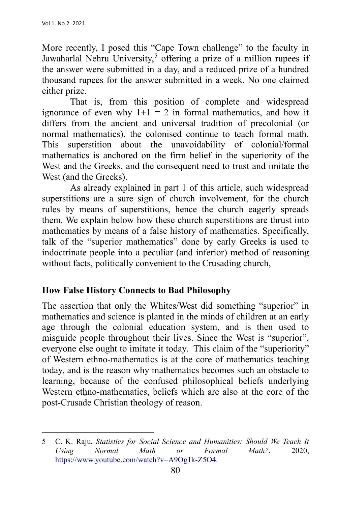More recently, I posed this "Cape Town challenge" to the faculty in Jawaharlal Nehru University,<sup>[5](#page-4-0)</sup> offering a prize of a million rupees if the answer were submitted in a day, and a reduced prize of a hundred thousand rupees for the answer submitted in a week. No one claimed either prize.

That is, from this position of complete and widespread ignorance of even why  $1+1 = 2$  in formal mathematics, and how it differs from the ancient and universal tradition of precolonial (or normal mathematics), the colonised continue to teach formal math. This superstition about the unavoidability of colonial/formal mathematics is anchored on the firm belief in the superiority of the West and the Greeks, and the consequent need to trust and imitate the West (and the Greeks).

As already explained in part 1 of this article, such widespread superstitions are a sure sign of church involvement, for the church rules by means of superstitions, hence the church eagerly spreads them. We explain below how these church superstitions are thrust into mathematics by means of a false history of mathematics. Specifically, talk of the "superior mathematics" done by early Greeks is used to indoctrinate people into a peculiar (and inferior) method of reasoning without facts, politically convenient to the Crusading church,

### **How False History Connects to Bad Philosophy**

The assertion that only the Whites/West did something "superior" in mathematics and science is planted in the minds of children at an early age through the colonial education system, and is then used to misguide people throughout their lives. Since the West is "superior", everyone else ought to imitate it today. This claim of the "superiority" of Western ethno-mathematics is at the core of mathematics teaching today, and is the reason why mathematics becomes such an obstacle to learning, because of the confused philosophical beliefs underlying Western ethno-mathematics, beliefs which are also at the core of the post-Crusade Christian theology of reason.

<span id="page-4-0"></span><sup>5</sup> C. K. Raju, *Statistics for Social Science and Humanities: Should We Teach It Using Normal Math or Formal Math?*, 2020, https://www.youtube.com/watch?v=A9Og1k-Z5O4.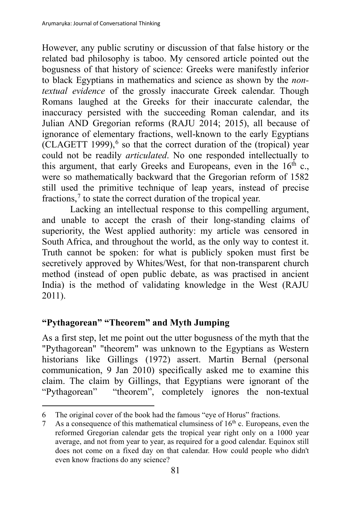However, any public scrutiny or discussion of that false history or the related bad philosophy is taboo. My censored article pointed out the bogusness of that history of science: Greeks were manifestly inferior to black Egyptians in mathematics and science as shown by the *nontextual evidence* of the grossly inaccurate Greek calendar. Though Romans laughed at the Greeks for their inaccurate calendar, the inaccuracy persisted with the succeeding Roman calendar, and its Julian AND Gregorian reforms (RAJU 2014; 2015), all because of ignorance of elementary fractions, well-known to the early Egyptians  $(CLAGETT 1999)$ ,  $6$  so that the correct duration of the (tropical) year could not be readily *articulated*. No one responded intellectually to this argument, that early Greeks and Europeans, even in the  $16<sup>th</sup>$  c., were so mathematically backward that the Gregorian reform of 1582 still used the primitive technique of leap years, instead of precise fractions,<sup>[7](#page-5-1)</sup> to state the correct duration of the tropical year.

Lacking an intellectual response to this compelling argument, and unable to accept the crash of their long-standing claims of superiority, the West applied authority: my article was censored in South Africa, and throughout the world, as the only way to contest it. Truth cannot be spoken: for what is publicly spoken must first be secretively approved by Whites/West, for that non-transparent church method (instead of open public debate, as was practised in ancient India) is the method of validating knowledge in the West (RAJU 2011).

## **"Pythagorean" "Theorem" and Myth Jumping**

As a first step, let me point out the utter bogusness of the myth that the "Pythagorean" "theorem" was unknown to the Egyptians as Western historians like Gillings (1972) assert. Martin Bernal (personal communication, 9 Jan 2010) specifically asked me to examine this claim. The claim by Gillings, that Egyptians were ignorant of the "Pythagorean" "theorem", completely ignores the non-textual

<span id="page-5-0"></span><sup>6</sup> The original cover of the book had the famous "eye of Horus" fractions.

<span id="page-5-1"></span><sup>7</sup> As a consequence of this mathematical clumsiness of  $16<sup>th</sup>$  c. Europeans, even the reformed Gregorian calendar gets the tropical year right only on a 1000 year average, and not from year to year, as required for a good calendar. Equinox still does not come on a fixed day on that calendar. How could people who didn't even know fractions do any science?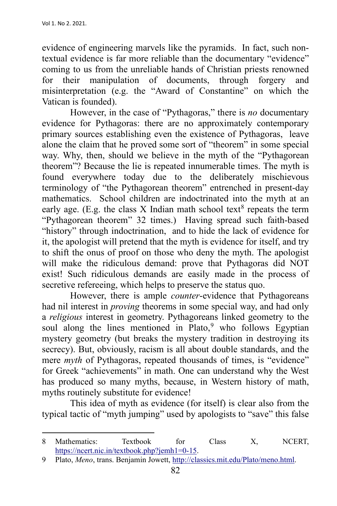evidence of engineering marvels like the pyramids. In fact, such nontextual evidence is far more reliable than the documentary "evidence" coming to us from the unreliable hands of Christian priests renowned for their manipulation of documents, through forgery and misinterpretation (e.g. the "Award of Constantine" on which the Vatican is founded).

However, in the case of "Pythagoras," there is *no* documentary evidence for Pythagoras: there are no approximately contemporary primary sources establishing even the existence of Pythagoras, leave alone the claim that he proved some sort of "theorem" in some special way. Why, then, should we believe in the myth of the "Pythagorean theorem"? Because the lie is repeated innumerable times. The myth is found everywhere today due to the deliberately mischievous terminology of "the Pythagorean theorem" entrenched in present-day mathematics. School children are indoctrinated into the myth at an early age. (E.g. the class X Indian math school text<sup>[8](#page-6-0)</sup> repeats the term "Pythagorean theorem" 32 times.) Having spread such faith-based "history" through indoctrination, and to hide the lack of evidence for it, the apologist will pretend that the myth is evidence for itself, and try to shift the onus of proof on those who deny the myth. The apologist will make the ridiculous demand: prove that Pythagoras did NOT exist! Such ridiculous demands are easily made in the process of secretive refereeing, which helps to preserve the status quo.

However, there is ample *counter*-evidence that Pythagoreans had nil interest in *proving* theorems in some special way, and had only a *religious* interest in geometry. Pythagoreans linked geometry to the soul along the lines mentioned in Plato,<sup>[9](#page-6-1)</sup> who follows Egyptian mystery geometry (but breaks the mystery tradition in destroying its secrecy). But, obviously, racism is all about double standards, and the mere *myth* of Pythagoras, repeated thousands of times, is "evidence" for Greek "achievements" in math. One can understand why the West has produced so many myths, because, in Western history of math, myths routinely substitute for evidence!

This idea of myth as evidence (for itself) is clear also from the typical tactic of "myth jumping" used by apologists to "save" this false

<span id="page-6-0"></span><sup>8</sup> Mathematics: Textbook for Class X, NCERT, https://ncert.nic.in/textbook.php?jemh1=0-15.

<span id="page-6-1"></span><sup>9</sup> Plato, *Meno*, trans. Benjamin Jowett, http://classics.mit.edu/Plato/meno.html.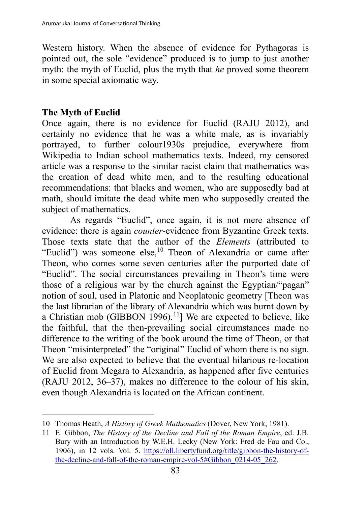Western history. When the absence of evidence for Pythagoras is pointed out, the sole "evidence" produced is to jump to just another myth: the myth of Euclid, plus the myth that *he* proved some theorem in some special axiomatic way.

### **The Myth of Euclid**

Once again, there is no evidence for Euclid (RAJU 2012), and certainly no evidence that he was a white male, as is invariably portrayed, to further colour1930s prejudice, everywhere from Wikipedia to Indian school mathematics texts. Indeed, my censored article was a response to the similar racist claim that mathematics was the creation of dead white men, and to the resulting educational recommendations: that blacks and women, who are supposedly bad at math, should imitate the dead white men who supposedly created the subject of mathematics.

As regards "Euclid", once again, it is not mere absence of evidence: there is again *counter*-evidence from Byzantine Greek texts. Those texts state that the author of the *Elements* (attributed to "Euclid") was someone else,<sup>[10](#page-7-0)</sup> Theon of Alexandria or came after Theon, who comes some seven centuries after the purported date of "Euclid". The social circumstances prevailing in Theon's time were those of a religious war by the church against the Egyptian/"pagan" notion of soul, used in Platonic and Neoplatonic geometry [Theon was the last librarian of the library of Alexandria which was burnt down by a Christian mob (GIBBON 1996).<sup>[11](#page-7-1)</sup>] We are expected to believe, like the faithful, that the then-prevailing social circumstances made no difference to the writing of the book around the time of Theon, or that Theon "misinterpreted" the "original" Euclid of whom there is no sign. We are also expected to believe that the eventual hilarious re-location of Euclid from Megara to Alexandria, as happened after five centuries (RAJU 2012, 36–37), makes no difference to the colour of his skin, even though Alexandria is located on the African continent.

<span id="page-7-0"></span><sup>10</sup> Thomas Heath, *A History of Greek Mathematics* (Dover, New York, 1981).

<span id="page-7-1"></span><sup>11</sup> E. Gibbon, *The History of the Decline and Fall of the Roman Empire*, ed. J.B. Bury with an Introduction by W.E.H. Lecky (New York: Fred de Fau and Co., 1906), in 12 vols. Vol. 5. https://oll.libertyfund.org/title/gibbon-the-history-ofthe-decline-and-fall-of-the-roman-empire-vol-5#Gibbon\_0214-05\_262.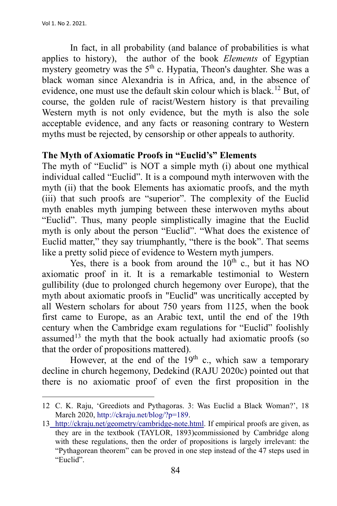In fact, in all probability (and balance of probabilities is what applies to history), the author of the book *Elements* of Egyptian mystery geometry was the  $5<sup>th</sup>$  c. Hypatia, Theon's daughter. She was a black woman since Alexandria is in Africa, and, in the absence of evidence, one must use the default skin colour which is black.[12](#page-8-0) But, of course, the golden rule of racist/Western history is that prevailing Western myth is not only evidence, but the myth is also the sole acceptable evidence, and any facts or reasoning contrary to Western myths must be rejected, by censorship or other appeals to authority.

#### **The Myth of Axiomatic Proofs in "Euclid's" Elements**

The myth of "Euclid" is NOT a simple myth (i) about one mythical individual called "Euclid". It is a compound myth interwoven with the myth (ii) that the book Elements has axiomatic proofs, and the myth (iii) that such proofs are "superior". The complexity of the Euclid myth enables myth jumping between these interwoven myths about "Euclid". Thus, many people simplistically imagine that the Euclid myth is only about the person "Euclid". "What does the existence of Euclid matter," they say triumphantly, "there is the book". That seems like a pretty solid piece of evidence to Western myth jumpers.

Yes, there is a book from around the  $10<sup>th</sup>$  c., but it has NO axiomatic proof in it. It is a remarkable testimonial to Western gullibility (due to prolonged church hegemony over Europe), that the myth about axiomatic proofs in "Euclid" was uncritically accepted by all Western scholars for about 750 years from 1125, when the book first came to Europe, as an Arabic text, until the end of the 19th century when the Cambridge exam regulations for "Euclid" foolishly assumed<sup>[13](#page-8-1)</sup> the myth that the book actually had axiomatic proofs (so that the order of propositions mattered).

However, at the end of the  $19<sup>th</sup>$  c., which saw a temporary decline in church hegemony, Dedekind (RAJU 2020c) pointed out that there is no axiomatic proof of even the first proposition in the

<span id="page-8-0"></span><sup>12</sup> C. K. Raju, 'Greediots and Pythagoras. 3: Was Euclid a Black Woman?', 18 March 2020, http://ckraju.net/blog/?p=189.

<span id="page-8-1"></span><sup>13</sup> http://ckraju.net/geometry/cambridge-note.html. If empirical proofs are given, as they are in the textbook (TAYLOR, 1893)commissioned by Cambridge along with these regulations, then the order of propositions is largely irrelevant: the "Pythagorean theorem" can be proved in one step instead of the 47 steps used in "Euclid".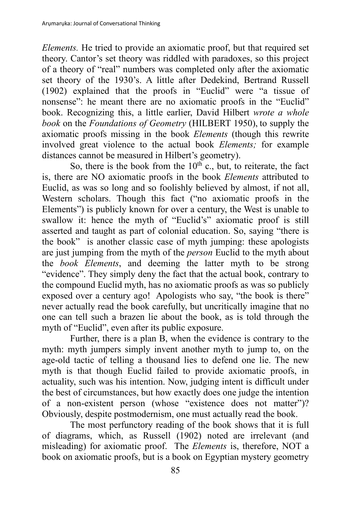*Elements.* He tried to provide an axiomatic proof, but that required set theory. Cantor's set theory was riddled with paradoxes, so this project of a theory of "real" numbers was completed only after the axiomatic set theory of the 1930's. A little after Dedekind, Bertrand Russell (1902) explained that the proofs in "Euclid" were "a tissue of nonsense": he meant there are no axiomatic proofs in the "Euclid" book. Recognizing this, a little earlier, David Hilbert *wrote a whole book* on the *Foundations of Geometry* (HILBERT 1950), to supply the axiomatic proofs missing in the book *Elements* (though this rewrite involved great violence to the actual book *Elements;* for example distances cannot be measured in Hilbert's geometry).

So, there is the book from the  $10^{th}$  c., but, to reiterate, the fact is, there are NO axiomatic proofs in the book *Elements* attributed to Euclid, as was so long and so foolishly believed by almost, if not all, Western scholars. Though this fact ("no axiomatic proofs in the Elements") is publicly known for over a century, the West is unable to swallow it: hence the myth of "Euclid's" axiomatic proof is still asserted and taught as part of colonial education. So, saying "there is the book" is another classic case of myth jumping: these apologists are just jumping from the myth of the *person* Euclid to the myth about the *book Elements*, and deeming the latter myth to be strong "evidence". They simply deny the fact that the actual book, contrary to the compound Euclid myth, has no axiomatic proofs as was so publicly exposed over a century ago! Apologists who say, "the book is there" never actually read the book carefully, but uncritically imagine that no one can tell such a brazen lie about the book, as is told through the myth of "Euclid", even after its public exposure.

Further, there is a plan B, when the evidence is contrary to the myth: myth jumpers simply invent another myth to jump to, on the age-old tactic of telling a thousand lies to defend one lie. The new myth is that though Euclid failed to provide axiomatic proofs, in actuality, such was his intention. Now, judging intent is difficult under the best of circumstances, but how exactly does one judge the intention of a non-existent person (whose "existence does not matter")? Obviously, despite postmodernism, one must actually read the book.

The most perfunctory reading of the book shows that it is full of diagrams, which, as Russell (1902) noted are irrelevant (and misleading) for axiomatic proof. The *Elements* is, therefore, NOT a book on axiomatic proofs, but is a book on Egyptian mystery geometry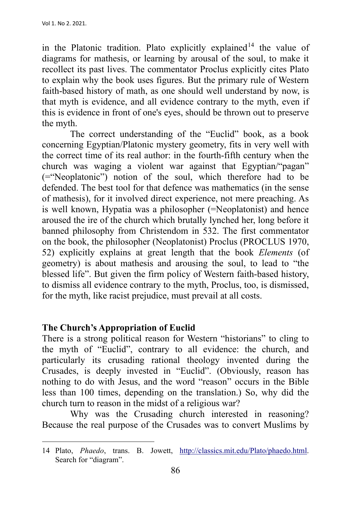in the Platonic tradition. Plato explicitly explained<sup>[14](#page-10-0)</sup> the value of diagrams for mathesis, or learning by arousal of the soul, to make it recollect its past lives. The commentator Proclus explicitly cites Plato to explain why the book uses figures. But the primary rule of Western faith-based history of math, as one should well understand by now, is that myth is evidence, and all evidence contrary to the myth, even if this is evidence in front of one's eyes, should be thrown out to preserve the myth.

The correct understanding of the "Euclid" book, as a book concerning Egyptian/Platonic mystery geometry, fits in very well with the correct time of its real author: in the fourth-fifth century when the church was waging a violent war against that Egyptian/"pagan" (="Neoplatonic") notion of the soul, which therefore had to be defended. The best tool for that defence was mathematics (in the sense of mathesis), for it involved direct experience, not mere preaching. As is well known, Hypatia was a philosopher (=Neoplatonist) and hence aroused the ire of the church which brutally lynched her, long before it banned philosophy from Christendom in 532. The first commentator on the book, the philosopher (Neoplatonist) Proclus (PROCLUS 1970, 52) explicitly explains at great length that the book *Elements* (of geometry) is about mathesis and arousing the soul, to lead to "the blessed life". But given the firm policy of Western faith-based history, to dismiss all evidence contrary to the myth, Proclus, too, is dismissed, for the myth, like racist prejudice, must prevail at all costs.

### **The Church's Appropriation of Euclid**

There is a strong political reason for Western "historians" to cling to the myth of "Euclid", contrary to all evidence: the church, and particularly its crusading rational theology invented during the Crusades, is deeply invested in "Euclid". (Obviously, reason has nothing to do with Jesus, and the word "reason" occurs in the Bible less than 100 times, depending on the translation.) So, why did the church turn to reason in the midst of a religious war?

Why was the Crusading church interested in reasoning? Because the real purpose of the Crusades was to convert Muslims by

<span id="page-10-0"></span><sup>14</sup> Plato, *Phaedo*, trans. B. Jowett, http://classics.mit.edu/Plato/phaedo.html. Search for "diagram".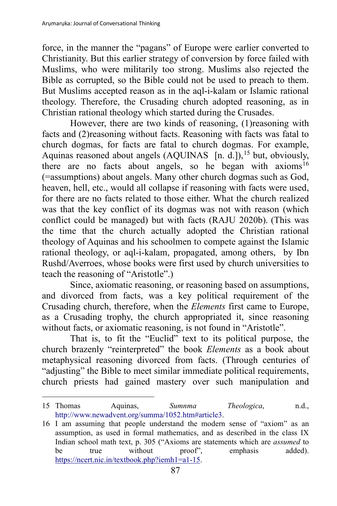force, in the manner the "pagans" of Europe were earlier converted to Christianity. But this earlier strategy of conversion by force failed with Muslims, who were militarily too strong. Muslims also rejected the Bible as corrupted, so the Bible could not be used to preach to them. But Muslims accepted reason as in the aql-i-kalam or Islamic rational theology. Therefore, the Crusading church adopted reasoning, as in Christian rational theology which started during the Crusades.

However, there are two kinds of reasoning, (1)reasoning with facts and (2)reasoning without facts. Reasoning with facts was fatal to church dogmas, for facts are fatal to church dogmas. For example, Aquinas reasoned about angels  $(AQUINAS \text{ [n. d.]})$ ,<sup>[15](#page-11-0)</sup> but, obviously, there are no facts about angels, so he began with axioms<sup>[16](#page-11-1)</sup> (=assumptions) about angels. Many other church dogmas such as God, heaven, hell, etc., would all collapse if reasoning with facts were used, for there are no facts related to those either. What the church realized was that the key conflict of its dogmas was not with reason (which conflict could be managed) but with facts (RAJU 2020b). (This was the time that the church actually adopted the Christian rational theology of Aquinas and his schoolmen to compete against the Islamic rational theology, or aql-i-kalam, propagated, among others, by Ibn Rushd/Averroes, whose books were first used by church universities to teach the reasoning of "Aristotle".)

Since, axiomatic reasoning, or reasoning based on assumptions, and divorced from facts, was a key political requirement of the Crusading church, therefore, when the *Elements* first came to Europe, as a Crusading trophy, the church appropriated it, since reasoning without facts, or axiomatic reasoning, is not found in "Aristotle".

That is, to fit the "Euclid" text to its political purpose, the church brazenly "reinterpreted" the book *Elements* as a book about metaphysical reasoning divorced from facts. (Through centuries of "adjusting" the Bible to meet similar immediate political requirements, church priests had gained mastery over such manipulation and

<span id="page-11-0"></span><sup>15</sup> Thomas Aquinas, *Sumnma Theologica*, n.d., http://www.newadvent.org/summa/1052.htm#article3.

<span id="page-11-1"></span><sup>16</sup> I am assuming that people understand the modern sense of "axiom" as an assumption, as used in formal mathematics, and as described in the class IX Indian school math text, p. 305 ("Axioms are statements which are *assumed* to be true without proof", emphasis added). https://ncert.nic.in/textbook.php?iemh1=a1-15.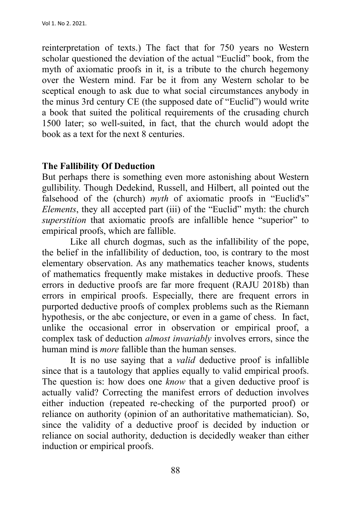reinterpretation of texts.) The fact that for 750 years no Western scholar questioned the deviation of the actual "Euclid" book, from the myth of axiomatic proofs in it, is a tribute to the church hegemony over the Western mind. Far be it from any Western scholar to be sceptical enough to ask due to what social circumstances anybody in the minus 3rd century CE (the supposed date of "Euclid") would write a book that suited the political requirements of the crusading church 1500 later; so well-suited, in fact, that the church would adopt the book as a text for the next 8 centuries.

### **The Fallibility Of Deduction**

But perhaps there is something even more astonishing about Western gullibility. Though Dedekind, Russell, and Hilbert, all pointed out the falsehood of the (church) *myth* of axiomatic proofs in "Euclid's" *Elements*, they all accepted part (iii) of the "Euclid" myth: the church *superstition* that axiomatic proofs are infallible hence "superior" to empirical proofs, which are fallible.

Like all church dogmas, such as the infallibility of the pope, the belief in the infallibility of deduction, too, is contrary to the most elementary observation. As any mathematics teacher knows, students of mathematics frequently make mistakes in deductive proofs. These errors in deductive proofs are far more frequent (RAJU 2018b) than errors in empirical proofs. Especially, there are frequent errors in purported deductive proofs of complex problems such as the Riemann hypothesis, or the abc conjecture, or even in a game of chess. In fact, unlike the occasional error in observation or empirical proof, a complex task of deduction *almost invariably* involves errors, since the human mind is *more* fallible than the human senses.

It is no use saying that a *valid* deductive proof is infallible since that is a tautology that applies equally to valid empirical proofs. The question is: how does one *know* that a given deductive proof is actually valid? Correcting the manifest errors of deduction involves either induction (repeated re-checking of the purported proof) or reliance on authority (opinion of an authoritative mathematician). So, since the validity of a deductive proof is decided by induction or reliance on social authority, deduction is decidedly weaker than either induction or empirical proofs.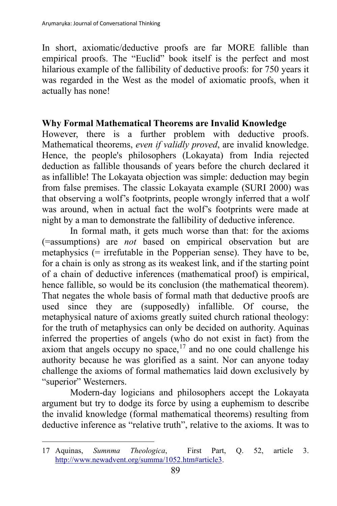In short, axiomatic/deductive proofs are far MORE fallible than empirical proofs. The "Euclid" book itself is the perfect and most hilarious example of the fallibility of deductive proofs: for 750 years it was regarded in the West as the model of axiomatic proofs, when it actually has none!

## **Why Formal Mathematical Theorems are Invalid Knowledge**

However, there is a further problem with deductive proofs. Mathematical theorems, *even if validly proved*, are invalid knowledge. Hence, the people's philosophers (Lokayata) from India rejected deduction as fallible thousands of years before the church declared it as infallible! The Lokayata objection was simple: deduction may begin from false premises. The classic Lokayata example (SURI 2000) was that observing a wolf's footprints, people wrongly inferred that a wolf was around, when in actual fact the wolf's footprints were made at night by a man to demonstrate the fallibility of deductive inference.

In formal math, it gets much worse than that: for the axioms (=assumptions) are *not* based on empirical observation but are metaphysics (= irrefutable in the Popperian sense). They have to be, for a chain is only as strong as its weakest link, and if the starting point of a chain of deductive inferences (mathematical proof) is empirical, hence fallible, so would be its conclusion (the mathematical theorem). That negates the whole basis of formal math that deductive proofs are used since they are (supposedly) infallible. Of course, the metaphysical nature of axioms greatly suited church rational theology: for the truth of metaphysics can only be decided on authority. Aquinas inferred the properties of angels (who do not exist in fact) from the axiom that angels occupy no space,  $17$  and no one could challenge his authority because he was glorified as a saint. Nor can anyone today challenge the axioms of formal mathematics laid down exclusively by "superior" Westerners.

Modern-day logicians and philosophers accept the Lokayata argument but try to dodge its force by using a euphemism to describe the invalid knowledge (formal mathematical theorems) resulting from deductive inference as "relative truth", relative to the axioms. It was to

<span id="page-13-0"></span><sup>17</sup> Aquinas, *Sumnma Theologica*, First Part, Q. 52, article 3. http://www.newadvent.org/summa/1052.htm#article3.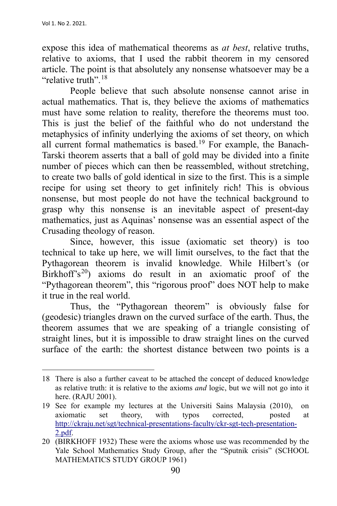expose this idea of mathematical theorems as *at best*, relative truths, relative to axioms, that I used the rabbit theorem in my censored article. The point is that absolutely any nonsense whatsoever may be a "relative truth".<sup>[18](#page-14-0)</sup>

People believe that such absolute nonsense cannot arise in actual mathematics. That is, they believe the axioms of mathematics must have some relation to reality, therefore the theorems must too. This is just the belief of the faithful who do not understand the metaphysics of infinity underlying the axioms of set theory, on which all current formal mathematics is based.[19](#page-14-1) For example, the Banach-Tarski theorem asserts that a ball of gold may be divided into a finite number of pieces which can then be reassembled, without stretching, to create two balls of gold identical in size to the first. This is a simple recipe for using set theory to get infinitely rich! This is obvious nonsense, but most people do not have the technical background to grasp why this nonsense is an inevitable aspect of present-day mathematics, just as Aquinas' nonsense was an essential aspect of the Crusading theology of reason.

Since, however, this issue (axiomatic set theory) is too technical to take up here, we will limit ourselves, to the fact that the Pythagorean theorem is invalid knowledge. While Hilbert's (or Birkhoff's<sup>[20](#page-14-2)</sup>) axioms do result in an axiomatic proof of the "Pythagorean theorem", this "rigorous proof" does NOT help to make it true in the real world.

Thus, the "Pythagorean theorem" is obviously false for (geodesic) triangles drawn on the curved surface of the earth. Thus, the theorem assumes that we are speaking of a triangle consisting of straight lines, but it is impossible to draw straight lines on the curved surface of the earth: the shortest distance between two points is a

<span id="page-14-0"></span><sup>18</sup> There is also a further caveat to be attached the concept of deduced knowledge as relative truth: it is relative to the axioms *and* logic, but we will not go into it here. (RAJU 2001).

<span id="page-14-1"></span><sup>19</sup> See for example my lectures at the Universiti Sains Malaysia (2010), on axiomatic set theory, with typos corrected, posted at http://ckraju.net/sgt/technical-presentations-faculty/ckr-sgt-tech-presentation-2.pdf.

<span id="page-14-2"></span><sup>20</sup> (BIRKHOFF 1932) These were the axioms whose use was recommended by the Yale School Mathematics Study Group, after the "Sputnik crisis" (SCHOOL MATHEMATICS STUDY GROUP 1961)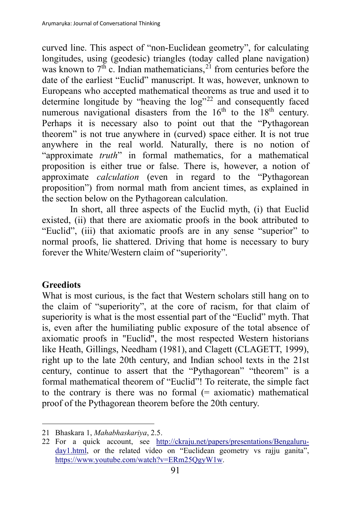curved line. This aspect of "non-Euclidean geometry", for calculating longitudes, using (geodesic) triangles (today called plane navigation) was known to  $7<sup>th</sup>$  c. Indian mathematicians,<sup>[21](#page-15-0)</sup> from centuries before the date of the earliest "Euclid" manuscript. It was, however, unknown to Europeans who accepted mathematical theorems as true and used it to determine longitude by "heaving the  $log^{322}$  $log^{322}$  $log^{322}$  and consequently faced numerous navigational disasters from the  $16<sup>th</sup>$  to the  $18<sup>th</sup>$  century. Perhaps it is necessary also to point out that the "Pythagorean theorem" is not true anywhere in (curved) space either. It is not true anywhere in the real world. Naturally, there is no notion of "approximate *truth*" in formal mathematics, for a mathematical proposition is either true or false. There is, however, a notion of approximate *calculation* (even in regard to the "Pythagorean proposition") from normal math from ancient times, as explained in the section below on the Pythagorean calculation.

In short, all three aspects of the Euclid myth, (i) that Euclid existed, (ii) that there are axiomatic proofs in the book attributed to "Euclid", (iii) that axiomatic proofs are in any sense "superior" to normal proofs, lie shattered. Driving that home is necessary to bury forever the White/Western claim of "superiority".

## **Greediots**

What is most curious, is the fact that Western scholars still hang on to the claim of "superiority", at the core of racism, for that claim of superiority is what is the most essential part of the "Euclid" myth. That is, even after the humiliating public exposure of the total absence of axiomatic proofs in "Euclid", the most respected Western historians like Heath, Gillings, Needham (1981), and Clagett (CLAGETT, 1999), right up to the late 20th century, and Indian school texts in the 21st century, continue to assert that the "Pythagorean" "theorem" is a formal mathematical theorem of "Euclid"! To reiterate, the simple fact to the contrary is there was no formal  $(=$  axiomatic) mathematical proof of the Pythagorean theorem before the 20th century.

<span id="page-15-0"></span><sup>21</sup> Bhaskara 1, *Mahabhaskariya*, 2.5.

<span id="page-15-1"></span><sup>22</sup> For a quick account, see http://ckraju.net/papers/presentations/Bengaluruday1.html, or the related video on "Euclidean geometry vs rajju ganita", https://www.youtube.com/watch?v=ERm25QgyW1w.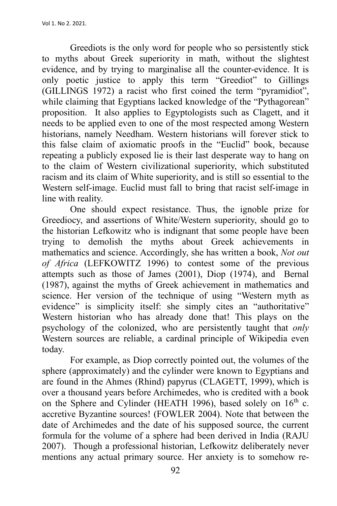Greediots is the only word for people who so persistently stick to myths about Greek superiority in math, without the slightest evidence, and by trying to marginalise all the counter-evidence. It is only poetic justice to apply this term "Greediot" to Gillings (GILLINGS 1972) a racist who first coined the term "pyramidiot", while claiming that Egyptians lacked knowledge of the "Pythagorean" proposition. It also applies to Egyptologists such as Clagett, and it needs to be applied even to one of the most respected among Western historians, namely Needham. Western historians will forever stick to this false claim of axiomatic proofs in the "Euclid" book, because repeating a publicly exposed lie is their last desperate way to hang on to the claim of Western civilizational superiority, which substituted racism and its claim of White superiority, and is still so essential to the Western self-image. Euclid must fall to bring that racist self-image in line with reality.

One should expect resistance. Thus, the ignoble prize for Greediocy, and assertions of White/Western superiority, should go to the historian Lefkowitz who is indignant that some people have been trying to demolish the myths about Greek achievements in mathematics and science. Accordingly, she has written a book, *Not out of Africa* (LEFKOWITZ 1996) to contest some of the previous attempts such as those of James (2001), Diop (1974), and Bernal (1987), against the myths of Greek achievement in mathematics and science. Her version of the technique of using "Western myth as evidence" is simplicity itself: she simply cites an "authoritative" Western historian who has already done that! This plays on the psychology of the colonized, who are persistently taught that *only* Western sources are reliable, a cardinal principle of Wikipedia even today.

For example, as Diop correctly pointed out, the volumes of the sphere (approximately) and the cylinder were known to Egyptians and are found in the Ahmes (Rhind) papyrus (CLAGETT, 1999), which is over a thousand years before Archimedes, who is credited with a book on the Sphere and Cylinder (HEATH 1996), based solely on 16<sup>th</sup> c. accretive Byzantine sources! (FOWLER 2004). Note that between the date of Archimedes and the date of his supposed source, the current formula for the volume of a sphere had been derived in India (RAJU 2007). Though a professional historian, Lefkowitz deliberately never mentions any actual primary source. Her anxiety is to somehow re-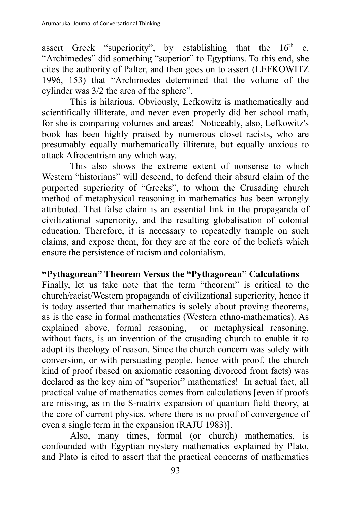assert Greek "superiority", by establishing that the  $16<sup>th</sup>$  c. "Archimedes" did something "superior" to Egyptians. To this end, she cites the authority of Palter, and then goes on to assert (LEFKOWITZ 1996, 153) that "Archimedes determined that the volume of the cylinder was 3/2 the area of the sphere".

This is hilarious. Obviously, Lefkowitz is mathematically and scientifically illiterate, and never even properly did her school math, for she is comparing volumes and areas! Noticeably, also, Lefkowitz's book has been highly praised by numerous closet racists, who are presumably equally mathematically illiterate, but equally anxious to attack Afrocentrism any which way.

This also shows the extreme extent of nonsense to which Western "historians" will descend, to defend their absurd claim of the purported superiority of "Greeks", to whom the Crusading church method of metaphysical reasoning in mathematics has been wrongly attributed. That false claim is an essential link in the propaganda of civilizational superiority, and the resulting globalisation of colonial education. Therefore, it is necessary to repeatedly trample on such claims, and expose them, for they are at the core of the beliefs which ensure the persistence of racism and colonialism.

### **"Pythagorean" Theorem Versus the "Pythagorean" Calculations**

Finally, let us take note that the term "theorem" is critical to the church/racist/Western propaganda of civilizational superiority, hence it is today asserted that mathematics is solely about proving theorems, as is the case in formal mathematics (Western ethno-mathematics). As explained above, formal reasoning, or metaphysical reasoning, without facts, is an invention of the crusading church to enable it to adopt its theology of reason. Since the church concern was solely with conversion, or with persuading people, hence with proof, the church kind of proof (based on axiomatic reasoning divorced from facts) was declared as the key aim of "superior" mathematics! In actual fact, all practical value of mathematics comes from calculations [even if proofs are missing, as in the S-matrix expansion of quantum field theory, at the core of current physics, where there is no proof of convergence of even a single term in the expansion (RAJU 1983)].

Also, many times, formal (or church) mathematics, is confounded with Egyptian mystery mathematics explained by Plato, and Plato is cited to assert that the practical concerns of mathematics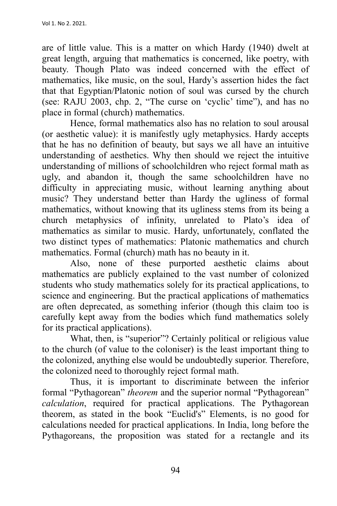are of little value. This is a matter on which Hardy (1940) dwelt at great length, arguing that mathematics is concerned, like poetry, with beauty. Though Plato was indeed concerned with the effect of mathematics, like music, on the soul, Hardy's assertion hides the fact that that Egyptian/Platonic notion of soul was cursed by the church (see: RAJU 2003, chp. 2, "The curse on 'cyclic' time"), and has no place in formal (church) mathematics.

Hence, formal mathematics also has no relation to soul arousal (or aesthetic value): it is manifestly ugly metaphysics. Hardy accepts that he has no definition of beauty, but says we all have an intuitive understanding of aesthetics. Why then should we reject the intuitive understanding of millions of schoolchildren who reject formal math as ugly, and abandon it, though the same schoolchildren have no difficulty in appreciating music, without learning anything about music? They understand better than Hardy the ugliness of formal mathematics, without knowing that its ugliness stems from its being a church metaphysics of infinity, unrelated to Plato's idea of mathematics as similar to music. Hardy, unfortunately, conflated the two distinct types of mathematics: Platonic mathematics and church mathematics. Formal (church) math has no beauty in it.

Also, none of these purported aesthetic claims about mathematics are publicly explained to the vast number of colonized students who study mathematics solely for its practical applications, to science and engineering. But the practical applications of mathematics are often deprecated, as something inferior (though this claim too is carefully kept away from the bodies which fund mathematics solely for its practical applications).

What, then, is "superior"? Certainly political or religious value to the church (of value to the coloniser) is the least important thing to the colonized, anything else would be undoubtedly superior. Therefore, the colonized need to thoroughly reject formal math.

Thus, it is important to discriminate between the inferior formal "Pythagorean" *theorem* and the superior normal "Pythagorean" *calculation*, required for practical applications. The Pythagorean theorem, as stated in the book "Euclid's" Elements, is no good for calculations needed for practical applications. In India, long before the Pythagoreans, the proposition was stated for a rectangle and its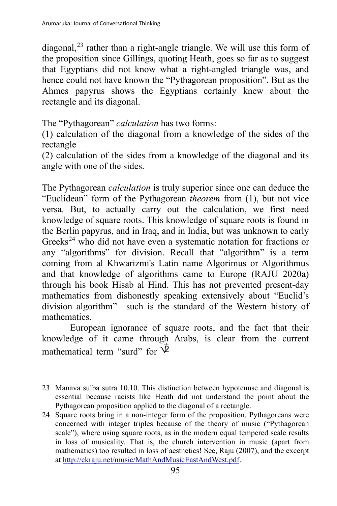diagonal, $^{23}$  $^{23}$  $^{23}$  rather than a right-angle triangle. We will use this form of the proposition since Gillings, quoting Heath, goes so far as to suggest that Egyptians did not know what a right-angled triangle was, and hence could not have known the "Pythagorean proposition". But as the Ahmes papyrus shows the Egyptians certainly knew about the rectangle and its diagonal.

The "Pythagorean" *calculation* has two forms:

(1) calculation of the diagonal from a knowledge of the sides of the rectangle

(2) calculation of the sides from a knowledge of the diagonal and its angle with one of the sides.

The Pythagorean *calculation* is truly superior since one can deduce the "Euclidean" form of the Pythagorean *theorem* from (1), but not vice versa. But, to actually carry out the calculation, we first need knowledge of square roots. This knowledge of square roots is found in the Berlin papyrus, and in Iraq, and in India, but was unknown to early Greeks<sup>[24](#page-19-1)</sup> who did not have even a systematic notation for fractions or any "algorithms" for division. Recall that "algorithm" is a term coming from al Khwarizmi's Latin name Algorimus or Algorithmus and that knowledge of algorithms came to Europe (RAJU 2020a) through his book Hisab al Hind. This has not prevented present-day mathematics from dishonestly speaking extensively about "Euclid's division algorithm"—such is the standard of the Western history of mathematics.

European ignorance of square roots, and the fact that their knowledge of it came through Arabs, is clear from the current mathematical term "surd" for  $\overline{\Phi}$ 

<span id="page-19-0"></span><sup>23</sup> Manava sulba sutra 10.10. This distinction between hypotenuse and diagonal is essential because racists like Heath did not understand the point about the Pythagorean proposition applied to the diagonal of a rectangle.

<span id="page-19-1"></span><sup>24</sup> Square roots bring in a non-integer form of the proposition. Pythagoreans were concerned with integer triples because of the theory of music ("Pythagorean scale"), where using square roots, as in the modern equal tempered scale results in loss of musicality. That is, the church intervention in music (apart from mathematics) too resulted in loss of aesthetics! See, Raju (2007), and the excerpt at http://ckraju.net/music/MathAndMusicEastAndWest.pdf.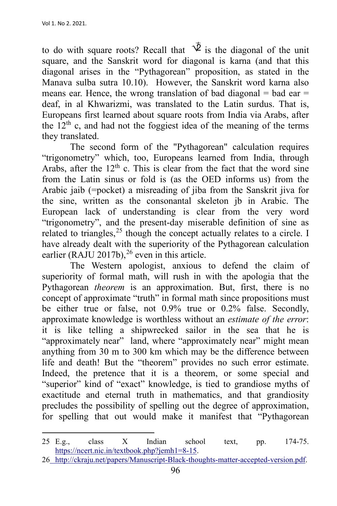to do with square roots? Recall that  $\overline{\Psi}$  is the diagonal of the unit square, and the Sanskrit word for diagonal is karna (and that this diagonal arises in the "Pythagorean" proposition, as stated in the Manava sulba sutra 10.10). However, the Sanskrit word karna also means ear. Hence, the wrong translation of bad diagonal  $=$  bad ear  $=$ deaf, in al Khwarizmi, was translated to the Latin surdus. That is, Europeans first learned about square roots from India via Arabs, after the  $12<sup>th</sup>$  c, and had not the foggiest idea of the meaning of the terms they translated.

The second form of the "Pythagorean" calculation requires "trigonometry" which, too, Europeans learned from India, through Arabs, after the  $12<sup>th</sup>$  c. This is clear from the fact that the word sine from the Latin sinus or fold is (as the OED informs us) from the Arabic jaib (=pocket) a misreading of jiba from the Sanskrit jiva for the sine, written as the consonantal skeleton jb in Arabic. The European lack of understanding is clear from the very word "trigonometry", and the present-day miserable definition of sine as related to triangles,  $25$  though the concept actually relates to a circle. I have already dealt with the superiority of the Pythagorean calculation earlier (RAJU 2017b),  $^{26}$  $^{26}$  $^{26}$  even in this article.

The Western apologist, anxious to defend the claim of superiority of formal math, will rush in with the apologia that the Pythagorean *theorem* is an approximation. But, first, there is no concept of approximate "truth" in formal math since propositions must be either true or false, not 0.9% true or 0.2% false. Secondly, approximate knowledge is worthless without an *estimate of the error*: it is like telling a shipwrecked sailor in the sea that he is "approximately near" land, where "approximately near" might mean anything from 30 m to 300 km which may be the difference between life and death! But the "theorem" provides no such error estimate. Indeed, the pretence that it is a theorem, or some special and "superior" kind of "exact" knowledge, is tied to grandiose myths of exactitude and eternal truth in mathematics, and that grandiosity precludes the possibility of spelling out the degree of approximation, for spelling that out would make it manifest that "Pythagorean

<span id="page-20-0"></span><sup>25</sup> E.g., class X Indian school text, pp. 174-75. https://ncert.nic.in/textbook.php?jemh1=8-15.

<span id="page-20-1"></span><sup>26</sup> http://ckraju.net/papers/Manuscript-Black-thoughts-matter-accepted-version.pdf.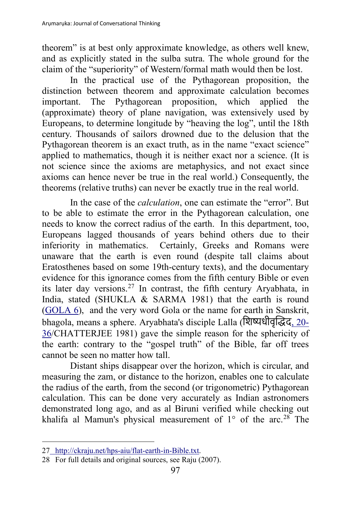theorem" is at best only approximate knowledge, as others well knew, and as explicitly stated in the sulba sutra. The whole ground for the claim of the "superiority" of Western/formal math would then be lost.

In the practical use of the Pythagorean proposition, the distinction between theorem and approximate calculation becomes important. The Pythagorean proposition, which applied the (approximate) theory of plane navigation, was extensively used by Europeans, to determine longitude by "heaving the log", until the 18th century. Thousands of sailors drowned due to the delusion that the Pythagorean theorem is an exact truth, as in the name "exact science" applied to mathematics, though it is neither exact nor a science. (It is not science since the axioms are metaphysics, and not exact since axioms can hence never be true in the real world.) Consequently, the theorems (relative truths) can never be exactly true in the real world.

In the case of the *calculation*, one can estimate the "error". But to be able to estimate the error in the Pythagorean calculation, one needs to know the correct radius of the earth. In this department, too, Europeans lagged thousands of years behind others due to their inferiority in mathematics. Certainly, Greeks and Romans were unaware that the earth is even round (despite tall claims about Eratosthenes based on some 19th-century texts), and the documentary evidence for this ignorance comes from the fifth century Bible or even its later day versions.<sup>[27](#page-21-0)</sup> In contrast, the fifth century Aryabhata, in India, stated (SHUKLA & SARMA 1981) that the earth is round (GOLA 6), and the very word Gola or the name for earth in Sanskrit, bhagola, means a sphere. Aryabhata's disciple Lalla (िश�धीवृ��द, 20- 36/CHATTERJEE 1981) gave the simple reason for the sphericity of the earth: contrary to the "gospel truth" of the Bible, far off trees cannot be seen no matter how tall.

Distant ships disappear over the horizon, which is circular, and measuring the zam, or distance to the horizon, enables one to calculate the radius of the earth, from the second (or trigonometric) Pythagorean calculation. This can be done very accurately as Indian astronomers demonstrated long ago, and as al Biruni verified while checking out khalifa al Mamun's physical measurement of  $1^{\circ}$  of the arc.<sup>[28](#page-21-1)</sup> The

<span id="page-21-0"></span><sup>27</sup> http://ckraju.net/hps-aiu/flat-earth-in-Bible.txt.

<span id="page-21-1"></span><sup>28</sup> For full details and original sources, see Raju (2007).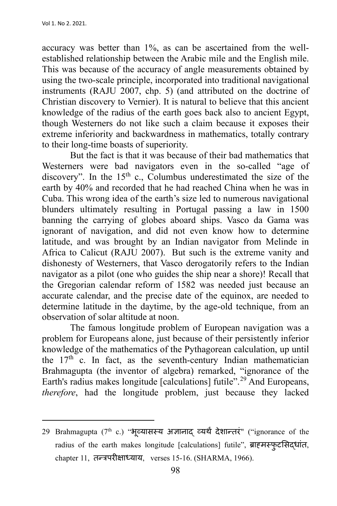accuracy was better than 1%, as can be ascertained from the wellestablished relationship between the Arabic mile and the English mile. This was because of the accuracy of angle measurements obtained by using the two-scale principle, incorporated into traditional navigational instruments (RAJU 2007, chp. 5) (and attributed on the doctrine of Christian discovery to Vernier). It is natural to believe that this ancient knowledge of the radius of the earth goes back also to ancient Egypt, though Westerners do not like such a claim because it exposes their extreme inferiority and backwardness in mathematics, totally contrary to their long-time boasts of superiority.

But the fact is that it was because of their bad mathematics that Westerners were bad navigators even in the so-called "age of discovery". In the  $15<sup>th</sup>$  c., Columbus underestimated the size of the earth by 40% and recorded that he had reached China when he was in Cuba. This wrong idea of the earth's size led to numerous navigational blunders ultimately resulting in Portugal passing a law in 1500 banning the carrying of globes aboard ships. Vasco da Gama was ignorant of navigation, and did not even know how to determine latitude, and was brought by an Indian navigator from Melinde in Africa to Calicut (RAJU 2007). But such is the extreme vanity and dishonesty of Westerners, that Vasco derogatorily refers to the Indian navigator as a pilot (one who guides the ship near a shore)! Recall that the Gregorian calendar reform of 1582 was needed just because an accurate calendar, and the precise date of the equinox, are needed to determine latitude in the daytime, by the age-old technique, from an observation of solar altitude at noon.

The famous longitude problem of European navigation was a problem for Europeans alone, just because of their persistently inferior knowledge of the mathematics of the Pythagorean calculation, up until the  $17<sup>th</sup>$  c. In fact, as the seventh-century Indian mathematician Brahmagupta (the inventor of algebra) remarked, "ignorance of the Earth's radius makes longitude [calculations] futile".<sup>[29](#page-22-0)</sup> And Europeans, *therefore*, had the longitude problem, just because they lacked

<span id="page-22-0"></span> $29$  Brahmagupta ( $7<sup>th</sup>$  c.) "भूव्यासस्य अज्ञानाद् व्यर्थं देशान्तरं" ("ignorance of the radius of the earth makes longitude [calculations] futile", ब्राह्मस्फुट�सद्धांत, chapter 11, तन्त्रपर��ाध्याय, verses 15-16. (SHARMA, 1966).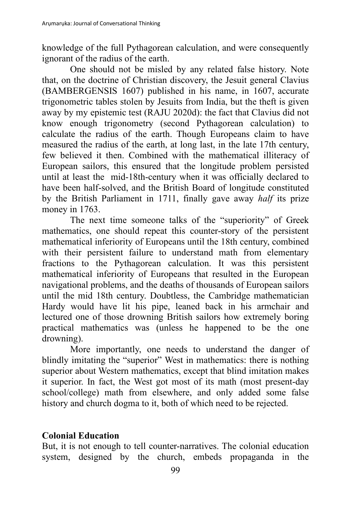knowledge of the full Pythagorean calculation, and were consequently ignorant of the radius of the earth.

One should not be misled by any related false history. Note that, on the doctrine of Christian discovery, the Jesuit general Clavius (BAMBERGENSIS 1607) published in his name, in 1607, accurate trigonometric tables stolen by Jesuits from India, but the theft is given away by my epistemic test (RAJU 2020d): the fact that Clavius did not know enough trigonometry (second Pythagorean calculation) to calculate the radius of the earth. Though Europeans claim to have measured the radius of the earth, at long last, in the late 17th century, few believed it then. Combined with the mathematical illiteracy of European sailors, this ensured that the longitude problem persisted until at least the mid-18th-century when it was officially declared to have been half-solved, and the British Board of longitude constituted by the British Parliament in 1711, finally gave away *half* its prize money in 1763.

The next time someone talks of the "superiority" of Greek mathematics, one should repeat this counter-story of the persistent mathematical inferiority of Europeans until the 18th century, combined with their persistent failure to understand math from elementary fractions to the Pythagorean calculation. It was this persistent mathematical inferiority of Europeans that resulted in the European navigational problems, and the deaths of thousands of European sailors until the mid 18th century. Doubtless, the Cambridge mathematician Hardy would have lit his pipe, leaned back in his armchair and lectured one of those drowning British sailors how extremely boring practical mathematics was (unless he happened to be the one drowning).

More importantly, one needs to understand the danger of blindly imitating the "superior" West in mathematics: there is nothing superior about Western mathematics, except that blind imitation makes it superior. In fact, the West got most of its math (most present-day school/college) math from elsewhere, and only added some false history and church dogma to it, both of which need to be rejected.

### **Colonial Education**

But, it is not enough to tell counter-narratives. The colonial education system, designed by the church, embeds propaganda in the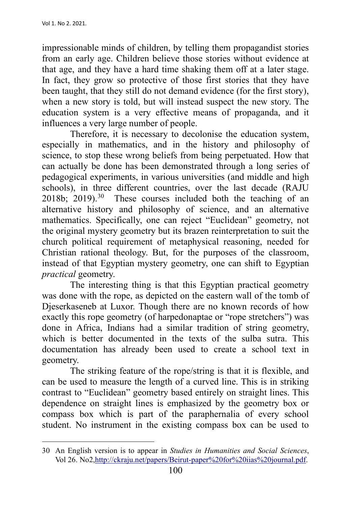impressionable minds of children, by telling them propagandist stories from an early age. Children believe those stories without evidence at that age, and they have a hard time shaking them off at a later stage. In fact, they grow so protective of those first stories that they have been taught, that they still do not demand evidence (for the first story), when a new story is told, but will instead suspect the new story. The education system is a very effective means of propaganda, and it influences a very large number of people.

Therefore, it is necessary to decolonise the education system, especially in mathematics, and in the history and philosophy of science, to stop these wrong beliefs from being perpetuated. How that can actually be done has been demonstrated through a long series of pedagogical experiments, in various universities (and middle and high schools), in three different countries, over the last decade (RAJU  $2018b$ ;  $2019$ ).<sup>[30](#page-24-0)</sup> These courses included both the teaching of an alternative history and philosophy of science, and an alternative mathematics. Specifically, one can reject "Euclidean" geometry, not the original mystery geometry but its brazen reinterpretation to suit the church political requirement of metaphysical reasoning, needed for Christian rational theology. But, for the purposes of the classroom, instead of that Egyptian mystery geometry, one can shift to Egyptian *practical* geometry.

The interesting thing is that this Egyptian practical geometry was done with the rope, as depicted on the eastern wall of the tomb of Djeserkaseneb at Luxor. Though there are no known records of how exactly this rope geometry (of harpedonaptae or "rope stretchers") was done in Africa, Indians had a similar tradition of string geometry, which is better documented in the texts of the sulba sutra. This documentation has already been used to create a school text in geometry.

The striking feature of the rope/string is that it is flexible, and can be used to measure the length of a curved line. This is in striking contrast to "Euclidean" geometry based entirely on straight lines. This dependence on straight lines is emphasized by the geometry box or compass box which is part of the paraphernalia of every school student. No instrument in the existing compass box can be used to

<span id="page-24-0"></span><sup>30</sup> An English version is to appear in *Studies in Humanities and Social Sciences*, Vol 26. No2,http://ckraju.net/papers/Beirut-paper%20for%20iias%20journal.pdf.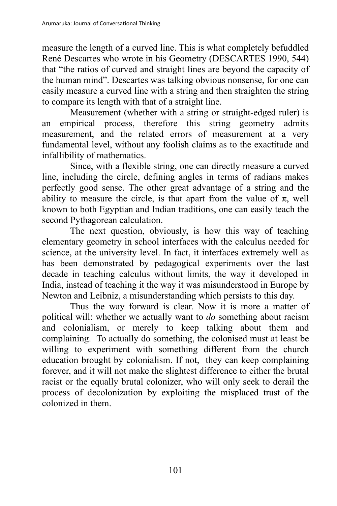measure the length of a curved line. This is what completely befuddled René Descartes who wrote in his Geometry (DESCARTES 1990, 544) that "the ratios of curved and straight lines are beyond the capacity of the human mind". Descartes was talking obvious nonsense, for one can easily measure a curved line with a string and then straighten the string to compare its length with that of a straight line.

Measurement (whether with a string or straight-edged ruler) is an empirical process, therefore this string geometry admits measurement, and the related errors of measurement at a very fundamental level, without any foolish claims as to the exactitude and infallibility of mathematics.

Since, with a flexible string, one can directly measure a curved line, including the circle, defining angles in terms of radians makes perfectly good sense. The other great advantage of a string and the ability to measure the circle, is that apart from the value of  $\pi$ , well known to both Egyptian and Indian traditions, one can easily teach the second Pythagorean calculation.

The next question, obviously, is how this way of teaching elementary geometry in school interfaces with the calculus needed for science, at the university level. In fact, it interfaces extremely well as has been demonstrated by pedagogical experiments over the last decade in teaching calculus without limits, the way it developed in India, instead of teaching it the way it was misunderstood in Europe by Newton and Leibniz, a misunderstanding which persists to this day.

Thus the way forward is clear. Now it is more a matter of political will: whether we actually want to *do* something about racism and colonialism, or merely to keep talking about them and complaining. To actually do something, the colonised must at least be willing to experiment with something different from the church education brought by colonialism. If not, they can keep complaining forever, and it will not make the slightest difference to either the brutal racist or the equally brutal colonizer, who will only seek to derail the process of decolonization by exploiting the misplaced trust of the colonized in them.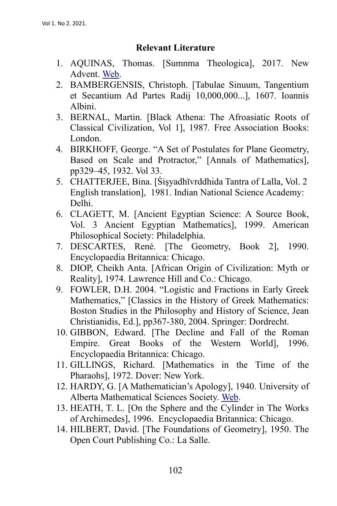#### **Relevant Literature**

- 1. AQUINAS, Thomas. [Sumnma Theologica], 2017. New Advent. Web.
- 2. BAMBERGENSIS, Christoph. [Tabulae Sinuum, Tangentium et Secantium Ad Partes Radij 10,000,000...], 1607. Ioannis Albini.
- 3. BERNAL, Martin. [Black Athena: The Afroasiatic Roots of Classical Civilization, Vol 1], 1987*.* Free Association Books: London.
- 4. BIRKHOFF, George. "A Set of Postulates for Plane Geometry, Based on Scale and Protractor," [Annals of Mathematics], pp329–45, 1932. Vol 33.
- 5. CHATTERJEE, Bina. [Śişyadhīvrddhida Tantra of Lalla, Vol. 2 English translation], 1981. Indian National Science Academy: Delhi.
- 6. CLAGETT, M. [Ancient Egyptian Science: A Source Book, Vol. 3 Ancient Egyptian Mathematics], 1999. American Philosophical Society: Philadelphia.
- 7. DESCARTES, René. [The Geometry, Book 2], 1990. Encyclopaedia Britannica: Chicago.
- 8. DIOP, Cheikh Anta. [African Origin of Civilization: Myth or Reality], 1974. Lawrence Hill and Co.: Chicago.
- 9. FOWLER, D.H. 2004. "Logistic and Fractions in Early Greek Mathematics," [Classics in the History of Greek Mathematics: Boston Studies in the Philosophy and History of Science, Jean Christianidis, Ed.], pp367-380, 2004. Springer: Dordrecht.
- 10. GIBBON, Edward. [The Decline and Fall of the Roman Empire. Great Books of the Western World], 1996. Encyclopaedia Britannica: Chicago.
- 11. GILLINGS, Richard. [Mathematics in the Time of the Pharaohs], 1972. Dover: New York.
- 12. HARDY, G. [A Mathematician's Apology], 1940. University of Alberta Mathematical Sciences Society. Web.
- 13. HEATH, T. L. [On the Sphere and the Cylinder in The Works of Archimedes], 1996. Encyclopaedia Britannica: Chicago.
- 14. HILBERT, David. [The Foundations of Geometry], 1950. The Open Court Publishing Co.: La Salle.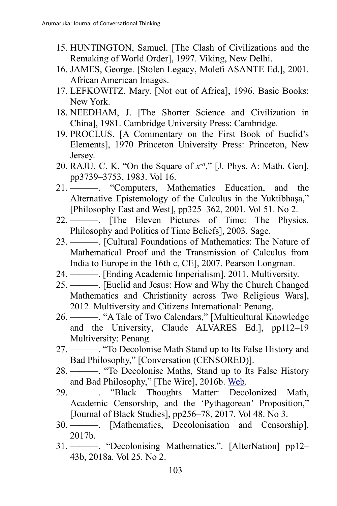- 15. HUNTINGTON, Samuel. [The Clash of Civilizations and the Remaking of World Order], 1997. Viking, New Delhi.
- 16. JAMES, George. [Stolen Legacy, Molefi ASANTE Ed.], 2001. African American Images.
- 17. LEFKOWITZ, Mary. [Not out of Africa], 1996. Basic Books: New York.
- 18. NEEDHAM, J. [The Shorter Science and Civilization in China], 1981. Cambridge University Press: Cambridge.
- 19. PROCLUS. [A Commentary on the First Book of Euclid's Elements], 1970 Princeton University Press: Princeton, New Jersey.
- 20. RAJU, C. K. "On the Square of *x-n* ," [J. Phys. A: Math. Gen], pp3739–3753, 1983. Vol 16.
- 21. ———. "Computers, Mathematics Education, and the Alternative Epistemology of the Calculus in the Yuktibhāṣā," [Philosophy East and West], pp325–362, 2001. Vol 51. No 2.
- 22. ———. [The Eleven Pictures of Time: The Physics, Philosophy and Politics of Time Beliefs], 2003. Sage.
- 23. ———. [Cultural Foundations of Mathematics: The Nature of Mathematical Proof and the Transmission of Calculus from India to Europe in the 16th c, CE], 2007. Pearson Longman.
- 24. ———. [Ending Academic Imperialism], 2011. Multiversity.
- 25. ———. [Euclid and Jesus: How and Why the Church Changed Mathematics and Christianity across Two Religious Wars], 2012. Multiversity and Citizens International: Penang.
- 26. ———. "A Tale of Two Calendars," [Multicultural Knowledge and the University, Claude ALVARES Ed.], pp112–19 Multiversity: Penang.
- 27. ———. "To Decolonise Math Stand up to Its False History and Bad Philosophy," [Conversation (CENSORED)].
- 28. ———. "To Decolonise Maths, Stand up to Its False History and Bad Philosophy," [The Wire], 2016b. Web.
- 29. ———. "Black Thoughts Matter: Decolonized Math, Academic Censorship, and the 'Pythagorean' Proposition," [Journal of Black Studies], pp256–78, 2017. Vol 48. No 3.
- 30. ———. [Mathematics, Decolonisation and Censorship], 2017b.
- 31. ———. "Decolonising Mathematics,". [AlterNation] pp12– 43b, 2018a. Vol 25. No 2.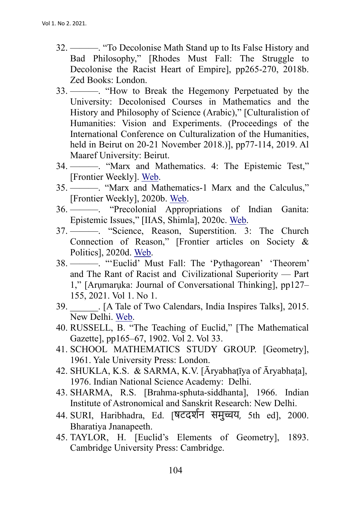- 32. ———. "To Decolonise Math Stand up to Its False History and Bad Philosophy," [Rhodes Must Fall: The Struggle to Decolonise the Racist Heart of Empire], pp265-270, 2018b. Zed Books: London.
- 33. ———. "How to Break the Hegemony Perpetuated by the University: Decolonised Courses in Mathematics and the History and Philosophy of Science (Arabic)," [Culturalistion of Humanities: Vision and Experiments. (Proceedings of the International Conference on Culturalization of the Humanities, held in Beirut on 20-21 November 2018.)], pp77-114, 2019. Al Maaref University: Beirut.
- 34. ———. "Marx and Mathematics. 4: The Epistemic Test," [Frontier Weekly]. Web.
- 35. ———. "Marx and Mathematics-1 Marx and the Calculus," [Frontier Weekly], 2020b. Web.
- 36. ———. "Precolonial Appropriations of Indian Ganita: Epistemic Issues," [IIAS, Shimla], 2020c. Web.
- 37. ———. "Science, Reason, Superstition. 3: The Church Connection of Reason," [Frontier articles on Society & Politics], 2020d. Web.
- 38. ———. "'Euclid' Must Fall: The 'Pythagorean' 'Theorem' and The Rant of Racist and Civilizational Superiority — Part 1," [Arumaruka: Journal of Conversational Thinking], pp127– 155, 2021. Vol 1. No 1.
- 39. \_\_\_\_\_\_. [A Tale of Two Calendars, India Inspires Talks], 2015. New Delhi. Web.
- 40. RUSSELL, B. "The Teaching of Euclid," [The Mathematical Gazette], pp165–67, 1902. Vol 2. Vol 33.
- 41. SCHOOL MATHEMATICS STUDY GROUP. [Geometry], 1961. Yale University Press: London.
- 42. SHUKLA, K.S. & SARMA, K.V. [Āryabhatīya of Āryabhata], 1976. Indian National Science Academy: Delhi.
- 43. SHARMA, R.S. [Brahma-sphuta-siddhanta], 1966. Indian Institute of Astronomical and Sanskrit Research: New Delhi.
- 44. SURI, Haribhadra, Ed. [षटदश�न समु�य, 5th ed], 2000. Bharatiya Jnanapeeth.
- 45. TAYLOR, H. [Euclid's Elements of Geometry], 1893. Cambridge University Press: Cambridge.